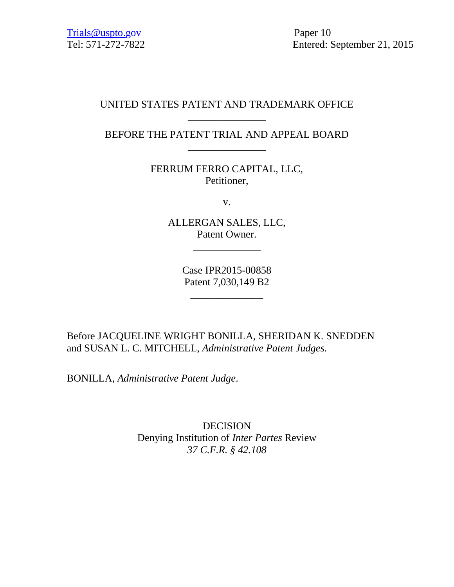# UNITED STATES PATENT AND TRADEMARK OFFICE \_\_\_\_\_\_\_\_\_\_\_\_\_\_\_

BEFORE THE PATENT TRIAL AND APPEAL BOARD \_\_\_\_\_\_\_\_\_\_\_\_\_\_\_

> FERRUM FERRO CAPITAL, LLC, Petitioner,

> > v.

ALLERGAN SALES, LLC, Patent Owner.

\_\_\_\_\_\_\_\_\_\_\_\_\_

Case IPR2015-00858 Patent 7,030,149 B2

\_\_\_\_\_\_\_\_\_\_\_\_\_\_

Before JACQUELINE WRIGHT BONILLA, SHERIDAN K. SNEDDEN and SUSAN L. C. MITCHELL, *Administrative Patent Judges.* 

BONILLA, *Administrative Patent Judge*.

DECISION Denying Institution of *Inter Partes* Review *37 C.F.R. § 42.108*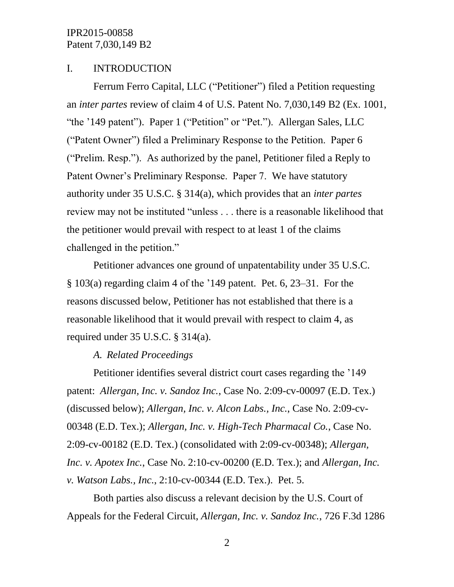### I. INTRODUCTION

Ferrum Ferro Capital, LLC ("Petitioner") filed a Petition requesting an *inter partes* review of claim 4 of U.S. Patent No. 7,030,149 B2 (Ex. 1001, "the '149 patent"). Paper 1 ("Petition" or "Pet."). Allergan Sales, LLC ("Patent Owner") filed a Preliminary Response to the Petition. Paper 6 ("Prelim. Resp."). As authorized by the panel, Petitioner filed a Reply to Patent Owner's Preliminary Response. Paper 7. We have statutory authority under 35 U.S.C. § 314(a), which provides that an *inter partes* review may not be instituted "unless . . . there is a reasonable likelihood that the petitioner would prevail with respect to at least 1 of the claims challenged in the petition."

Petitioner advances one ground of unpatentability under 35 U.S.C. § 103(a) regarding claim 4 of the '149 patent. Pet. 6, 23–31. For the reasons discussed below, Petitioner has not established that there is a reasonable likelihood that it would prevail with respect to claim 4, as required under 35 U.S.C. § 314(a).

#### *A. Related Proceedings*

Petitioner identifies several district court cases regarding the '149 patent: *Allergan, Inc. v. Sandoz Inc.*, Case No. 2:09-cv-00097 (E.D. Tex.) (discussed below); *Allergan, Inc. v. Alcon Labs., Inc.*, Case No. 2:09-cv-00348 (E.D. Tex.); *Allergan, Inc. v. High-Tech Pharmacal Co.*, Case No. 2:09-cv-00182 (E.D. Tex.) (consolidated with 2:09-cv-00348); *Allergan, Inc. v. Apotex Inc.*, Case No. 2:10-cv-00200 (E.D. Tex.); and *Allergan, Inc. v. Watson Labs., Inc.*, 2:10-cv-00344 (E.D. Tex.). Pet. 5.

Both parties also discuss a relevant decision by the U.S. Court of Appeals for the Federal Circuit, *Allergan, Inc. v. Sandoz Inc.*, 726 F.3d 1286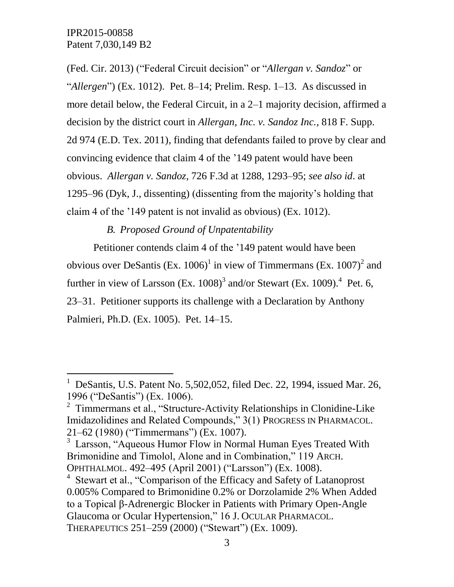$\overline{a}$ 

(Fed. Cir. 2013) ("Federal Circuit decision" or "*Allergan v. Sandoz*" or "*Allergen*") (Ex. 1012). Pet. 8–14; Prelim. Resp. 1–13. As discussed in more detail below, the Federal Circuit, in a 2–1 majority decision, affirmed a decision by the district court in *Allergan, Inc. v. Sandoz Inc.*, 818 F. Supp. 2d 974 (E.D. Tex. 2011), finding that defendants failed to prove by clear and convincing evidence that claim 4 of the '149 patent would have been obvious. *Allergan v. Sandoz*, 726 F.3d at 1288, 1293–95; *see also id*. at 1295–96 (Dyk, J., dissenting) (dissenting from the majority's holding that claim 4 of the '149 patent is not invalid as obvious) (Ex. 1012).

*B. Proposed Ground of Unpatentability*

Petitioner contends claim 4 of the '149 patent would have been obvious over DeSantis (Ex. 1006)<sup>1</sup> in view of Timmermans (Ex. 1007)<sup>2</sup> and further in view of Larsson (Ex.  $1008$ )<sup>3</sup> and/or Stewart (Ex. 1009).<sup>4</sup> Pet. 6, 23–31. Petitioner supports its challenge with a Declaration by Anthony Palmieri, Ph.D. (Ex. 1005). Pet. 14–15.

<sup>1</sup> DeSantis, U.S. Patent No. 5,502,052, filed Dec. 22, 1994, issued Mar. 26, 1996 ("DeSantis") (Ex. 1006).

<sup>&</sup>lt;sup>2</sup> Timmermans et al., "Structure-Activity Relationships in Clonidine-Like Imidazolidines and Related Compounds," 3(1) PROGRESS IN PHARMACOL. 21–62 (1980) ("Timmermans") (Ex. 1007).

<sup>&</sup>lt;sup>3</sup> Larsson, "Aqueous Humor Flow in Normal Human Eyes Treated With Brimonidine and Timolol, Alone and in Combination," 119 ARCH. OPHTHALMOL. 492–495 (April 2001) ("Larsson") (Ex. 1008).

<sup>&</sup>lt;sup>4</sup> Stewart et al., "Comparison of the Efficacy and Safety of Latanoprost 0.005% Compared to Brimonidine 0.2% or Dorzolamide 2% When Added to a Topical β-Adrenergic Blocker in Patients with Primary Open-Angle Glaucoma or Ocular Hypertension," 16 J. OCULAR PHARMACOL. THERAPEUTICS 251–259 (2000) ("Stewart") (Ex. 1009).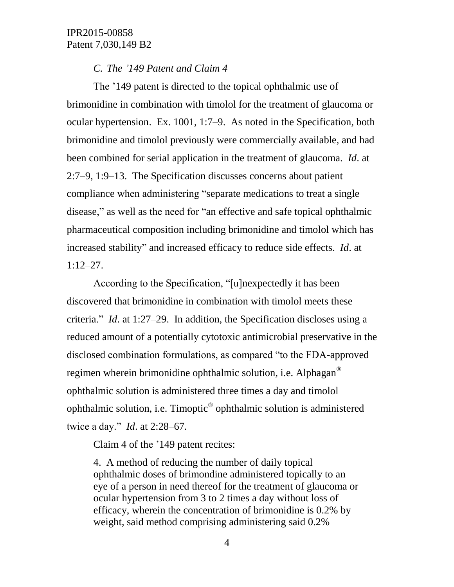#### *C. The '149 Patent and Claim 4*

The '149 patent is directed to the topical ophthalmic use of brimonidine in combination with timolol for the treatment of glaucoma or ocular hypertension. Ex. 1001, 1:7–9. As noted in the Specification, both brimonidine and timolol previously were commercially available, and had been combined for serial application in the treatment of glaucoma. *Id*. at 2:7–9, 1:9–13. The Specification discusses concerns about patient compliance when administering "separate medications to treat a single disease," as well as the need for "an effective and safe topical ophthalmic pharmaceutical composition including brimonidine and timolol which has increased stability" and increased efficacy to reduce side effects. *Id*. at 1:12–27.

According to the Specification, "[u]nexpectedly it has been discovered that brimonidine in combination with timolol meets these criteria." *Id*. at 1:27–29. In addition, the Specification discloses using a reduced amount of a potentially cytotoxic antimicrobial preservative in the disclosed combination formulations, as compared "to the FDA-approved regimen wherein brimonidine ophthalmic solution, i.e. Alphagan® ophthalmic solution is administered three times a day and timolol ophthalmic solution, i.e. Timoptic<sup>®</sup> ophthalmic solution is administered twice a day." *Id*. at 2:28–67.

Claim 4 of the '149 patent recites:

4. A method of reducing the number of daily topical ophthalmic doses of brimondine administered topically to an eye of a person in need thereof for the treatment of glaucoma or ocular hypertension from 3 to 2 times a day without loss of efficacy, wherein the concentration of brimonidine is 0.2% by weight, said method comprising administering said 0.2%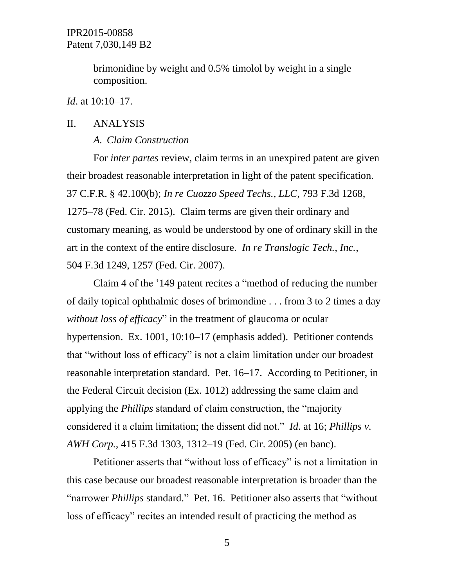brimonidine by weight and 0.5% timolol by weight in a single composition.

#### *Id*. at 10:10–17.

#### II. ANALYSIS

#### *A. Claim Construction*

For *inter partes* review, claim terms in an unexpired patent are given their broadest reasonable interpretation in light of the patent specification. 37 C.F.R. § 42.100(b); *In re Cuozzo Speed Techs., LLC*, 793 F.3d 1268, 1275–78 (Fed. Cir. 2015). Claim terms are given their ordinary and customary meaning, as would be understood by one of ordinary skill in the art in the context of the entire disclosure. *In re Translogic Tech., Inc.*, 504 F.3d 1249, 1257 (Fed. Cir. 2007).

Claim 4 of the '149 patent recites a "method of reducing the number of daily topical ophthalmic doses of brimondine . . . from 3 to 2 times a day *without loss of efficacy*" in the treatment of glaucoma or ocular hypertension. Ex. 1001, 10:10–17 (emphasis added). Petitioner contends that "without loss of efficacy" is not a claim limitation under our broadest reasonable interpretation standard. Pet. 16–17. According to Petitioner, in the Federal Circuit decision (Ex. 1012) addressing the same claim and applying the *Phillips* standard of claim construction, the "majority considered it a claim limitation; the dissent did not." *Id*. at 16; *Phillips v. AWH Corp.*, 415 F.3d 1303, 1312–19 (Fed. Cir. 2005) (en banc).

Petitioner asserts that "without loss of efficacy" is not a limitation in this case because our broadest reasonable interpretation is broader than the "narrower *Phillips* standard." Pet. 16. Petitioner also asserts that "without loss of efficacy" recites an intended result of practicing the method as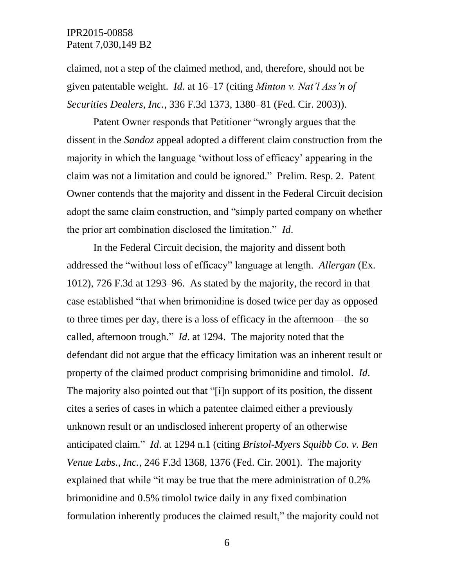claimed, not a step of the claimed method, and, therefore, should not be given patentable weight. *Id*. at 16–17 (citing *Minton v. Nat'l Ass'n of Securities Dealers, Inc.*, 336 F.3d 1373, 1380–81 (Fed. Cir. 2003)).

Patent Owner responds that Petitioner "wrongly argues that the dissent in the *Sandoz* appeal adopted a different claim construction from the majority in which the language 'without loss of efficacy' appearing in the claim was not a limitation and could be ignored." Prelim. Resp. 2. Patent Owner contends that the majority and dissent in the Federal Circuit decision adopt the same claim construction, and "simply parted company on whether the prior art combination disclosed the limitation." *Id*.

In the Federal Circuit decision, the majority and dissent both addressed the "without loss of efficacy" language at length. *Allergan* (Ex. 1012), 726 F.3d at 1293–96. As stated by the majority, the record in that case established "that when brimonidine is dosed twice per day as opposed to three times per day, there is a loss of efficacy in the afternoon—the so called, afternoon trough." *Id*. at 1294. The majority noted that the defendant did not argue that the efficacy limitation was an inherent result or property of the claimed product comprising brimonidine and timolol. *Id*. The majority also pointed out that "[i]n support of its position, the dissent cites a series of cases in which a patentee claimed either a previously unknown result or an undisclosed inherent property of an otherwise anticipated claim." *Id*. at 1294 n.1 (citing *Bristol-Myers Squibb Co. v. Ben Venue Labs., Inc.*, 246 F.3d 1368, 1376 (Fed. Cir. 2001). The majority explained that while "it may be true that the mere administration of 0.2% brimonidine and 0.5% timolol twice daily in any fixed combination formulation inherently produces the claimed result," the majority could not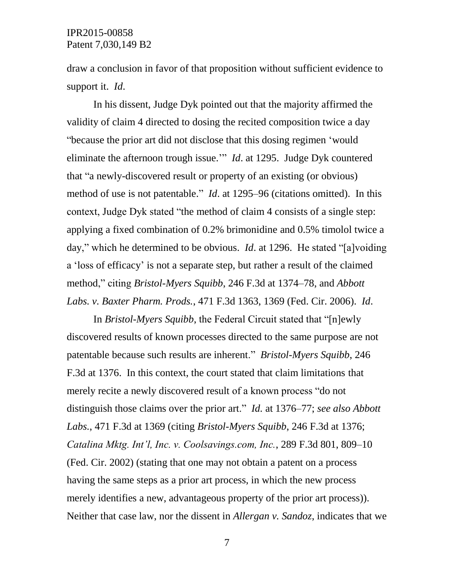draw a conclusion in favor of that proposition without sufficient evidence to support it. *Id*.

In his dissent, Judge Dyk pointed out that the majority affirmed the validity of claim 4 directed to dosing the recited composition twice a day "because the prior art did not disclose that this dosing regimen 'would eliminate the afternoon trough issue.'" *Id*. at 1295. Judge Dyk countered that "a newly-discovered result or property of an existing (or obvious) method of use is not patentable." *Id*. at 1295–96 (citations omitted). In this context, Judge Dyk stated "the method of claim 4 consists of a single step: applying a fixed combination of 0.2% brimonidine and 0.5% timolol twice a day," which he determined to be obvious. *Id*. at 1296. He stated "[a]voiding a 'loss of efficacy' is not a separate step, but rather a result of the claimed method," citing *Bristol-Myers Squibb*, 246 F.3d at 1374–78, and *Abbott Labs. v. Baxter Pharm. Prods.*, 471 F.3d 1363, 1369 (Fed. Cir. 2006). *Id*.

In *Bristol-Myers Squibb*, the Federal Circuit stated that "[n]ewly discovered results of known processes directed to the same purpose are not patentable because such results are inherent." *Bristol-Myers Squibb*, 246 F.3d at 1376. In this context, the court stated that claim limitations that merely recite a newly discovered result of a known process "do not distinguish those claims over the prior art." *Id.* at 1376–77; *see also Abbott Labs.*, 471 F.3d at 1369 (citing *Bristol-Myers Squibb*, 246 F.3d at 1376; *Catalina Mktg. Int'l, Inc. v. Coolsavings.com, Inc.*, 289 F.3d 801, 809–10 (Fed. Cir. 2002) (stating that one may not obtain a patent on a process having the same steps as a prior art process, in which the new process merely identifies a new, advantageous property of the prior art process)). Neither that case law, nor the dissent in *Allergan v. Sandoz*, indicates that we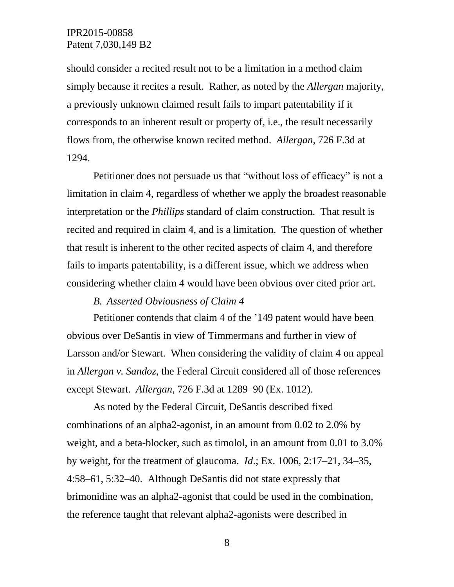should consider a recited result not to be a limitation in a method claim simply because it recites a result. Rather, as noted by the *Allergan* majority, a previously unknown claimed result fails to impart patentability if it corresponds to an inherent result or property of, i.e., the result necessarily flows from, the otherwise known recited method. *Allergan*, 726 F.3d at 1294.

Petitioner does not persuade us that "without loss of efficacy" is not a limitation in claim 4, regardless of whether we apply the broadest reasonable interpretation or the *Phillips* standard of claim construction. That result is recited and required in claim 4, and is a limitation. The question of whether that result is inherent to the other recited aspects of claim 4, and therefore fails to imparts patentability, is a different issue, which we address when considering whether claim 4 would have been obvious over cited prior art.

#### *B. Asserted Obviousness of Claim 4*

Petitioner contends that claim 4 of the '149 patent would have been obvious over DeSantis in view of Timmermans and further in view of Larsson and/or Stewart. When considering the validity of claim 4 on appeal in *Allergan v. Sandoz*, the Federal Circuit considered all of those references except Stewart. *Allergan*, 726 F.3d at 1289–90 (Ex. 1012).

As noted by the Federal Circuit, DeSantis described fixed combinations of an alpha2-agonist, in an amount from 0.02 to 2.0% by weight, and a beta-blocker, such as timolol, in an amount from 0.01 to 3.0% by weight, for the treatment of glaucoma. *Id*.; Ex. 1006, 2:17–21, 34–35, 4:58–61, 5:32–40. Although DeSantis did not state expressly that brimonidine was an alpha2-agonist that could be used in the combination, the reference taught that relevant alpha2-agonists were described in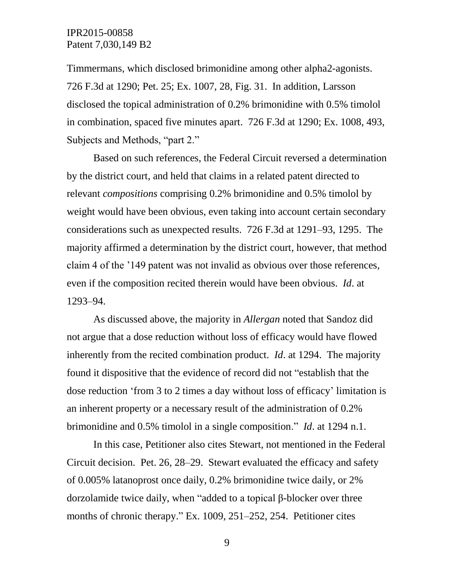Timmermans, which disclosed brimonidine among other alpha2-agonists. 726 F.3d at 1290; Pet. 25; Ex. 1007, 28, Fig. 31. In addition, Larsson disclosed the topical administration of 0.2% brimonidine with 0.5% timolol in combination, spaced five minutes apart. 726 F.3d at 1290; Ex. 1008, 493, Subjects and Methods, "part 2."

Based on such references, the Federal Circuit reversed a determination by the district court, and held that claims in a related patent directed to relevant *compositions* comprising 0.2% brimonidine and 0.5% timolol by weight would have been obvious, even taking into account certain secondary considerations such as unexpected results. 726 F.3d at 1291–93, 1295. The majority affirmed a determination by the district court, however, that method claim 4 of the '149 patent was not invalid as obvious over those references, even if the composition recited therein would have been obvious. *Id*. at 1293–94.

As discussed above, the majority in *Allergan* noted that Sandoz did not argue that a dose reduction without loss of efficacy would have flowed inherently from the recited combination product. *Id*. at 1294. The majority found it dispositive that the evidence of record did not "establish that the dose reduction 'from 3 to 2 times a day without loss of efficacy' limitation is an inherent property or a necessary result of the administration of 0.2% brimonidine and 0.5% timolol in a single composition." *Id*. at 1294 n.1.

In this case, Petitioner also cites Stewart, not mentioned in the Federal Circuit decision. Pet. 26, 28–29. Stewart evaluated the efficacy and safety of 0.005% latanoprost once daily, 0.2% brimonidine twice daily, or 2% dorzolamide twice daily, when "added to a topical β-blocker over three months of chronic therapy." Ex. 1009, 251–252, 254. Petitioner cites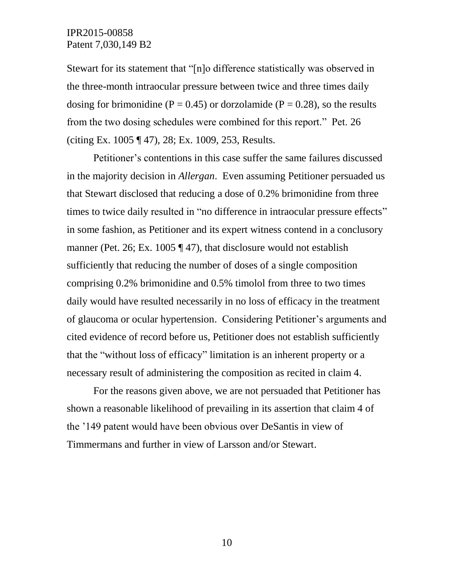Stewart for its statement that "[n]o difference statistically was observed in the three-month intraocular pressure between twice and three times daily dosing for brimonidine ( $P = 0.45$ ) or dorzolamide ( $P = 0.28$ ), so the results from the two dosing schedules were combined for this report." Pet. 26 (citing Ex. 1005 ¶ 47), 28; Ex. 1009, 253, Results.

Petitioner's contentions in this case suffer the same failures discussed in the majority decision in *Allergan*. Even assuming Petitioner persuaded us that Stewart disclosed that reducing a dose of 0.2% brimonidine from three times to twice daily resulted in "no difference in intraocular pressure effects" in some fashion, as Petitioner and its expert witness contend in a conclusory manner (Pet. 26; Ex. 1005 ¶ 47), that disclosure would not establish sufficiently that reducing the number of doses of a single composition comprising 0.2% brimonidine and 0.5% timolol from three to two times daily would have resulted necessarily in no loss of efficacy in the treatment of glaucoma or ocular hypertension. Considering Petitioner's arguments and cited evidence of record before us, Petitioner does not establish sufficiently that the "without loss of efficacy" limitation is an inherent property or a necessary result of administering the composition as recited in claim 4.

For the reasons given above, we are not persuaded that Petitioner has shown a reasonable likelihood of prevailing in its assertion that claim 4 of the '149 patent would have been obvious over DeSantis in view of Timmermans and further in view of Larsson and/or Stewart.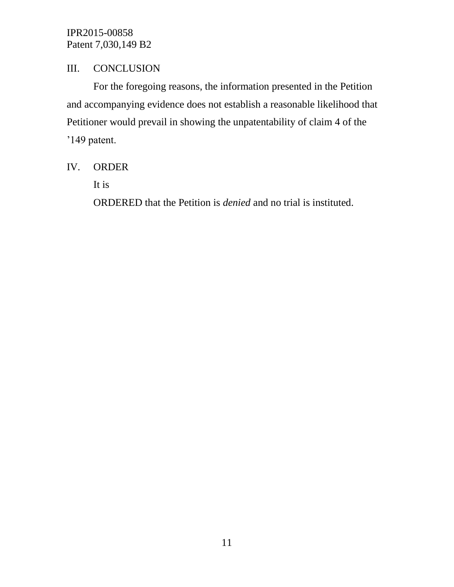# III. CONCLUSION

For the foregoing reasons, the information presented in the Petition and accompanying evidence does not establish a reasonable likelihood that Petitioner would prevail in showing the unpatentability of claim 4 of the '149 patent.

# IV. ORDER

It is

ORDERED that the Petition is *denied* and no trial is instituted.